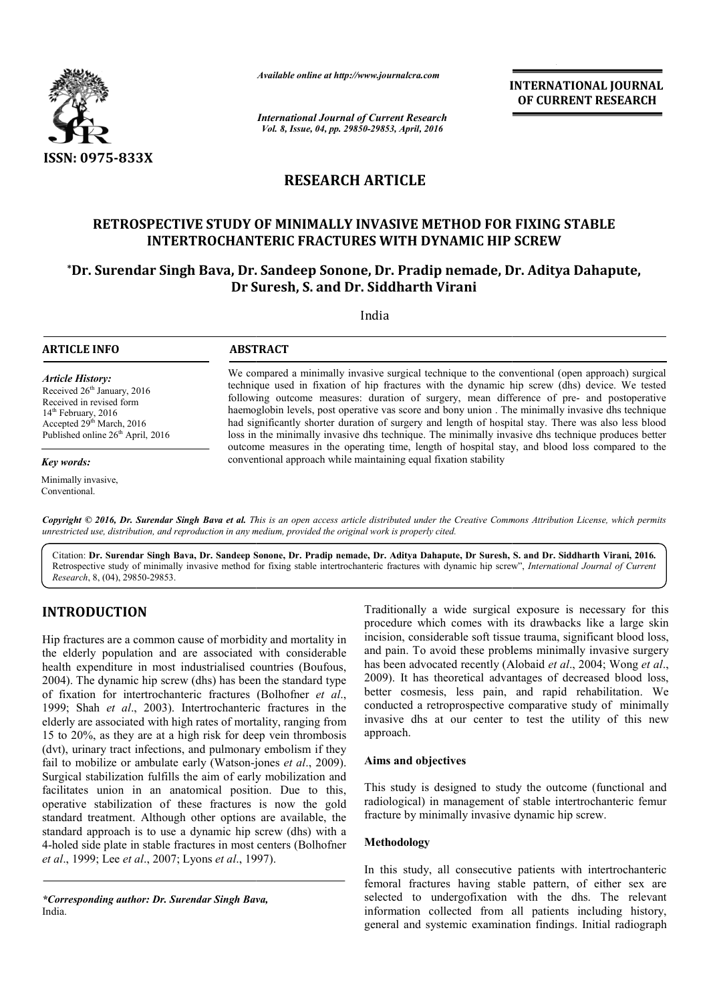

*Available online at http://www.journalcra.com*

*International Journal of Current Research Vol. 8, Issue, 04, pp. 29850-29853, April, 2016*

**INTERNATIONAL JOURNAL OF CURRENT RESEARCH** 

# **RESEARCH ARTICLE**

# **RETROSPECTIVE STUDY OF MINIMALLY INVASIVE METHOD FOR FIXING STABLE INTERTROCHANTERIC F FRACTURES WITH DYNAMIC HIP SCREW** RETROSPECTIVE STUDY OF MINIMALLY INVASIVE METHOD FOR FIXING STABLE<br>INTERTROCHANTERIC FRACTURES WITH DYNAMIC HIP SCREW<br>Dr. Surendar Singh Bava, Dr. Sandeep Sonone, Dr. Pradip nemade, Dr. Aditya Dahapute,\*

# **Dr Suresh, S. and Dr. Siddharth Virani**

 $\overline{a}$ 

India

## **ARTICLE INFO ABSTRACT**

*Article History:* Received 26<sup>th</sup> January, 2016 Received in revised form 14<sup>th</sup> February, 2016 Accepted 29<sup>th</sup> March, 2016 Published online  $26<sup>th</sup>$  April, 2016

*Key words:*

Minimally invasive, Conventional.

We compared a minimally invasive surgical technique to the conventional (open approach) surgical technique used in fixation of hip fractures with the dynamic hip screw (dhs) device. We tested following outcome measures: duration of surgery, mean difference of pre- and postoperative haemoglobin levels, post operative vas score and bony union. The minimally invasive dhs technique had significantly shorter duration of surgery and length of hospital stay. There was also less blood loss in the minimally invasive dhs technique. The minimally invasive dhs technique produces better had significantly shorter duration of surgery and length of hospital stay. There was also less blood loss in the minimally invasive dhs technique produces better outcome measures in the operating time, length of hospital s conventional approach while maintaining equal fixation stability We compared a minimally invasive surgical technique to the conventional (open approach) surgical technique used in fixation of hip fractures with the dynamic hip screw (dhs) device. We tested following outcome measures: du

Copyright © 2016, Dr. Surendar Singh Bava et al. This is an open access article distributed under the Creative Commons Attribution License, which permits *unrestricted use, distribution, and reproduction in any medium, provided the original work is properly cited.*

Citation: **Dr. Surendar Singh Bava, Dr. Sandeep Sonone, Dr. Pradip nemade, Dr. Aditya Dahapute, Dr Suresh, S. and Dr. Siddharth Virani, 2016.** Retrospective study of minimally invasive method for fixing stable intertrochanteric fractures with dynamic hip screw", *International Journal of Current Research*, 8, (04), 29850-29853.

# **INTRODUCTION**

Hip fractures are a common cause of morbidity and mortality in the elderly population and are associated with considerable health expenditure in most industrialised countries (Boufous, 2004). The dynamic hip screw (dhs) has been the standard type 2004). The dynamic hip screw (dhs) has been the standard type of fixation for intertrochanteric fractures (Bolhofner *et al.*, 1999; Shah *et al*., 2003). Intertrochanteric fractures in the elderly are associated with high rates of mortality, ranging from 15 to 20%, as they are at a high risk for deep vein thrombosis (dvt), urinary tract infections, and pulmonary embolism if they fail to mobilize or ambulate early (Watson-jones et al., 2009). Surgical stabilization fulfills the aim of early mobilization and facilitates union in an anatomical position. Due to this, operative stabilization of these fractures is now the gold standard treatment. Although other options are available, the standard approach is to use a dynamic hip screw (dhs) with a 4-holed side plate in stable fractures in most centers (Bolhofner *et al.*, 1999; Lee *et al.*, 2007; Lyons *et al.*, 1997). in *et al.*, 2003). Intertrochanteric fractures in the associated with high rates of mortality, ranging from as they are at a high risk for deep vein thrombosis ry tract infections, and pulmonary embolism if they ilize or

*\*Corresponding author: Dr. Surendar Singh Bava Bava,* India.

Traditionally a wide surgical exposure is necessary for this procedure which comes with its drawbacks like a large skin incision, considerable soft tissue trauma, significant blood loss, and pain. To avoid these problems minimally invasive surgery Traditionally a wide surgical exposure is necessary for this procedure which comes with its drawbacks like a large skin incision, considerable soft tissue trauma, significant blood loss, and pain. To avoid these problems m 2009). It has theoretical advantages of decreased blood loss, better cosmesis, less pain, and rapid rehabilitation. We conducted a retroprospective comparative study of minimally invasive dhs at our center to test the utility of this new approach. . It has theoretical advantages of decreased blood loss, cosmesis, less pain, and rapid rehabilitation. We conceded a retroprospective comparative study of minimally ve dhs at our center to test the utility of this new ach **INTERNATIONAL JOURNAL COF CURRENT RESEARCH**<br> **SUPPREMATIONAL COF CURRENT RESEARCH**<br> **SUPPREMATION COFFORM COFFORM**<br> **SUPPREMATION COFFORM**<br> **EVALUATION COFFORM**<br> **EVALUATION COFFORM**<br> **EVALUATION COFFORM**<br> **EVALUATION CO** 

#### **Aims and objectives**

This study is designed to study the outcome (functional and radiological) in management of stable intertrochanteric femur fracture by minimally invasive dynamic hip screw.

#### **Methodology**

In this study, all consecutive patients with intertrochanteric femoral fractures having stable pattern, of either sex are fracture by minimally invasive dynamic hip screw.<br> **Methodology**<br>
In this study, all consecutive patients with intertrochanteric<br>
femoral fractures having stable pattern, of either sex are<br>
selected to undergofixation with information collected from all patients including history, general and systemic examination findings. Initial radiograph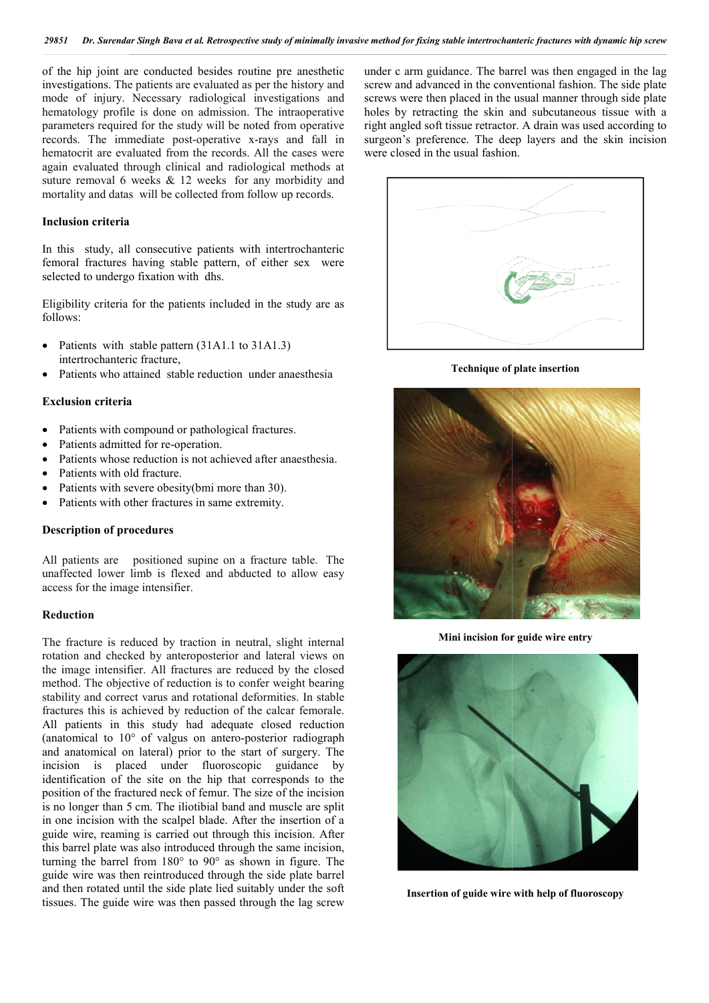of the hip joint are conducted besides routine pre anesthetic investigations. The patients are evaluated as per the history and mode of injury. Necessary radiological investigations and hematology profile is done on admission. The intraoperative parameters required for the study will be noted from operative records. The immediate post-operative x-rays and fall in hematocrit are evaluated from the records. All the cases were again evaluated through clinical and radiological methods at suture removal 6 weeks & 12 weeks for any morbidity and mortality and datas will be collected from follow up records. from the records.<br>clinical and radio<br>& 12 weeks for<br>e collected from f<br>collected from f<br>utive patients wife<br>stable pattern, on with dhs.<br>patients included<br>attern (31A1.1 to lure,<br>stable reduction u<br>d or pathological<br>e-oper

#### **Inclusion criteria**

In this study, all consecutive patients with intertrochanteric femoral fractures having stable pattern, of either sex were selected to undergo fixation with dhs.

Eligibility criteria for the patients included in the study are as follows:

- Patients with stable pattern (31A1.1 to 31A1.3) intertrochanteric fracture,
- Patients who attained stable reduction under anaesthesia

#### **Exclusion criteria**

- Patients with compound or pathological fractures.
- Patients admitted for re-operation.
- Patients whose reduction is not achieved after anaesthesia.
- Patients with old fracture.
- Patients with severe obesity(bmi more than 30).
- Patients with other fractures in same extremity.

#### **Description of procedures**

All patients are positioned supine on a fracture table. The unaffected lower limb is flexed and abducted to allow easy access for the image intensifier.

#### **Reduction**

The fracture is reduced by traction in neutral, slight internal rotation and checked by anteroposterior and lateral views on the image intensifier. All fractures are reduced by the closed method. The objective of reduction is to confer weight bearing stability and correct varus and rotational deformities. In stable fractures this is achieved by reduction of the calcar femorale. All patients in this study had adequate closed reduction (anatomical to 10° of valgus on antero-posterior radiograph and anatomical on lateral) prior to the start of surgery. The incision is placed under fluoroscopic guidance by (anatomical to  $10^{\circ}$  of valgus on antero-posterior radiograph<br>and anatomical on lateral) prior to the start of surgery. The<br>incision is placed under fluoroscopic guidance by<br>identification of the site on the hip that c position of the fractured neck of femur. The size of the incision is no longer than 5 cm. The iliotibial band and muscle are split in one incision with the scalpel blade. After the insertion of a guide wire, reaming is carried out through this incision. After this barrel plate was also introduced through the same incision, turning the barrel from 180° to 90° as shown in figure. The guide wire was then reintroduced through the side plate barrel and then rotated until the side plate lied suitably under the soft tissues. The guide wire was then passed through the lag screw

under c arm guidance. The barrel was then engaged in the lag screw and advanced in the conventional fashion. The side plate under c arm guidance. The barrel was then engaged in the lag<br>screw and advanced in the conventional fashion. The side plate<br>screws were then placed in the usual manner through side plate holes by retracting the skin and subcutaneous tissue with a right angled soft tissue retractor. A drain was used according to holes by retracting the skin and subcutaneous tissue with a right angled soft tissue retractor. A drain was used according to surgeon's preference. The deep layers and the skin incision were closed in the usual fashion.



**Technique of plate of plate insertion**



**Mini incision for guide wire entry**



**Insertion of guide wire with help of fluoroscopy**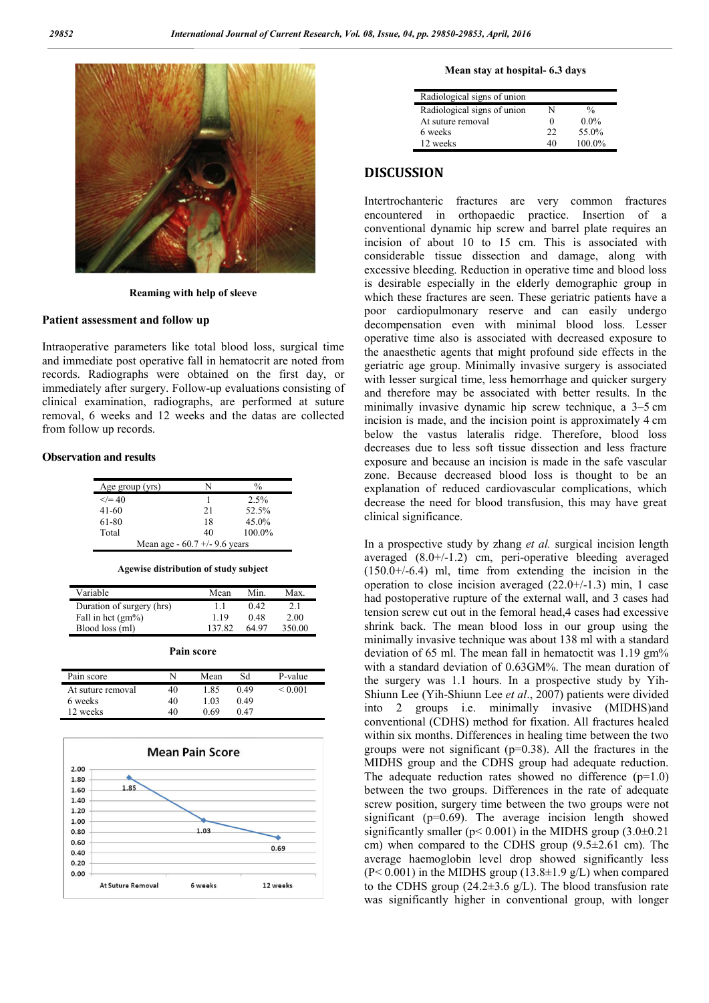

**Reaming with help of sleeve**

#### **Patient assessment and follow up**

Intraoperative parameters like total blood loss, surgical time and immediate post operative fall in hematocrit are noted from records. Radiographs were obtained on the first day, or immediately after surgery. Follow-up evaluations consisting of clinical examination, radiographs, are performed at suture removal, 6 weeks and 12 weeks and the datas are collected from follow up records.

#### **Observation and results**

| Age group (yrs) |                                 | $\frac{0}{0}$ |
|-----------------|---------------------------------|---------------|
| $\le$ /= 40     |                                 | 2.5%          |
| $41 - 60$       | 21                              | 52.5%         |
| 61-80           | 18                              | $45.0\%$      |
| Total           | 40                              | 100.0%        |
|                 | Mean age - $60.7 +/- 9.6$ years |               |

| Agewise distribution of study subject |  |
|---------------------------------------|--|
|                                       |  |

| Variable                  | Mean   | Min.  | Max.   |
|---------------------------|--------|-------|--------|
| Duration of surgery (hrs) | 11     | 0.42  | 2.1    |
| Fall in hct $(gm\%)$      | 119    | 0.48  | 2.00   |
| Blood loss (ml)           | 137.82 | 64 97 | 350.00 |

| <b>Pain score</b> |
|-------------------|
|                   |

| Pain score        |    | Mean | Sd   | P-value |
|-------------------|----|------|------|---------|
| At suture removal | 40 | 1.85 | 0.49 | < 0.001 |
| 6 weeks           | 40 | 1.03 | 0.49 |         |
| 12 weeks          | 40 | 0.69 | 0.47 |         |



#### **hospital- 6.3 days**

| Radiological signs of union |    |               |
|-----------------------------|----|---------------|
| Radiological signs of union |    | $\frac{0}{0}$ |
| At suture removal           |    | $0.0\%$       |
| 6 weeks                     | フフ | 55.0%         |
| 12 weeks                    | 40 | 100.0%        |

#### **DISCUSSION**

Mean stay at hospital<br>
Mean stay at hospital<br>
Mean stay at hospital<br>
Mean stay at hospital<br>
Mean stay at boxing readings of union<br>
A statute removal<br>
of weeks<br>
12 weeks<br>
12 weeks<br>
12 weeks<br>
12 weeks<br>
12 weeks<br>
12 weeks<br>
12 Intertrochanteric fractures are very common fractures Intertrochanteric fractures are very common fractures encountered in orthopaedic practice. Insertion of a conventional dynamic hip screw and barrel plate requires an incision of about 10 to 15 cm. This is associated with considerable tissue dissection and damage, along with excessive bleeding. Reduction in operative time and blood loss is desirable especially in the elderly demographic group in which these fractures are seen. These geriatric patients have a poor cardiopulmonary reserve and can easily undergo decompensation even with minimal blood loss. Lesser operative time also is associated with decreased exposure to the anaesthetic agents that might profound side effects in the geriatric age group. Minimally invasive surgery is associated with lesser surgical time, less hemorrhage and quicker surgery and therefore may be associated with better results. In the minimally invasive dynamic hip screw technique, a 3 3–5 cm incision is made, and the incision point is approximately 4 4 cm below the vastus lateralis ridge. Therefore, blood loss below the vastus lateralis ridge. Therefore, blood loss decreases due to less soft tissue dissection and less fracture exposure and because an incision is made in the safe vascular zone. Because decreased blood loss is thought to be an explanation of reduced cardiovascular complications, which decrease the need for blood transfusion, this may have great clinical significance. conventional dynamic hip screw and barrel plate requires an incision of about 10 to 15 cm. This is associated with considerable tissue dissection and damage, along with excessive bleeding. Reduction in operative time and b sure and because an incision is made in the safe vascular.<br>Because decreased blood loss is thought to be an anation of reduced cardiovascular complications, which prospective freed for blood transfusion, this may have grea

In a prospective study by zhang  $et$  al. surgical incision length averaged  $(8.0+)/1.2)$  cm, peri-operative bleeding averaged  $(150.0+/6.4)$  ml, time from extending the incision in the  $(150.0+/6.4)$  ml, time from extending the incision in the operation to close incision averaged  $(22.0+/1.3)$  min, 1 case had postoperative rupture of the external wall, and 3 cases had tension screw cut out in the femoral head,4 cases had excessive shrink back. The mean blood loss in our group using the minimally invasive technique was about 138 ml with a standard deviation of 65 ml. The mean fall in hematoctit was 1.19 gm% with a standard deviation of 0.63GM%. The mean duration of the surgery was 1.1 hours. In a prospective study by Yih Shiunn Lee (Yih-Shiunn Lee *et al* ., 2007) patients were divided into 2 groups i.e. minimally invasive (MIDHS)and conventional (CDHS) method for fixation. All fractures healed within six months. Differences in healing time between the two groups were not significant  $(p=0.38)$ . All the fractures in the MIDHS group and the CDHS group had adequate r The adequate reduction rates showed no difference  $(p=1.0)$ between the two groups. Differences in the rate of adequate screw position, surgery time between the two groups were not significant (p=0.69). The average incision length showed significantly smaller ( $p$ < 0.001) in the MIDHS group (3.0 $\pm$ 0.21 cm) when compared to the CDHS group  $(9.5\pm2.61$  cm). The average haemoglobin level drop showed significantly less  $(P< 0.001)$  in the MIDHS group  $(13.8\pm1.9 \text{ g/L})$  when compared to the CDHS group  $(24.2\pm3.6 \text{ g/L})$ . The blood transfusion rate was significantly higher in conventional group, with longer stoperative rupture of the external wall, and 3 cases had screw cut out in the femoral head,4 cases had excessive back. The mean blood loss in our group using the ally invasive technique was about 138 ml with a standard on six months. Differences in healing time between the two were not significant ( $p=0.38$ ). All the fractures in the S group and the CDHS group had adequate reduction. screw position, surgery time between the two groups were not significantly smaller ( $p<0.001$ ) in the MIDHS group (3.0±0.21 cm) when compared to the CDHS group (9.5±2.61 cm). The average haemoglobin level drop showed sign